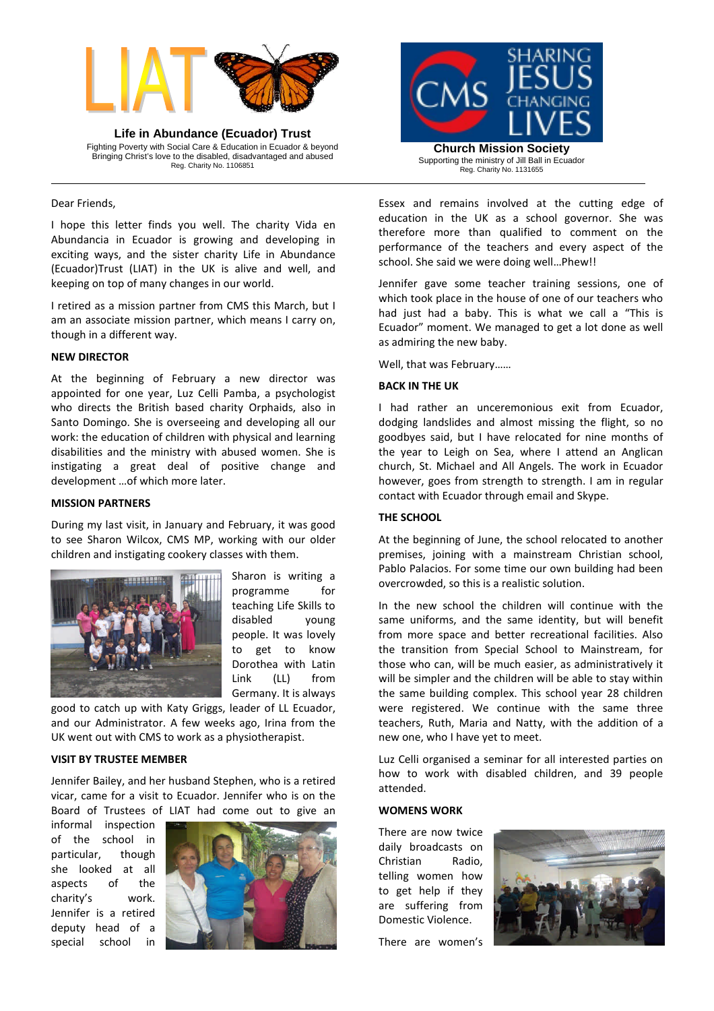

**Life in Abundance (Ecuador) Trust** Fighting Poverty with Social Care & Education in Ecuador & beyond Bringing Christ's love to the disabled, disadvantaged and abused Reg. Charity No. 1106851

Dear Friends,

I hope this letter finds you well. The charity Vida en Abundancia in Ecuador is growing and developing in exciting ways, and the sister charity Life in Abundance (Ecuador)Trust (LIAT) in the UK is alive and well, and keeping on top of many changes in our world.

I retired as a mission partner from CMS this March, but I am an associate mission partner, which means I carry on, though in a different way.

### **NEW DIRECTOR**

At the beginning of February a new director was appointed for one year, Luz Celli Pamba, a psychologist who directs the British based charity Orphaids, also in Santo Domingo. She is overseeing and developing all our work: the education of children with physical and learning disabilities and the ministry with abused women. She is instigating a great deal of positive change and development …of which more later.

#### **MISSION PARTNERS**

During my last visit, in January and February, it was good to see Sharon Wilcox, CMS MP, working with our older children and instigating cookery classes with them.



Sharon is writing a programme for teaching Life Skills to disabled young people. It was lovely to get to know Dorothea with Latin Link (LL) from Germany. It is always

good to catch up with Katy Griggs, leader of LL Ecuador, and our Administrator. A few weeks ago, Irina from the UK went out with CMS to work as a physiotherapist.

## **VISIT BY TRUSTEE MEMBER**

Jennifer Bailey, and her husband Stephen, who is a retired vicar, came for a visit to Ecuador. Jennifer who is on the Board of Trustees of LIAT had come out to give an

informal inspection of the school in particular, though she looked at all aspects of the charity's work. Jennifer is a retired deputy head of a special school in





Essex and remains involved at the cutting edge of education in the UK as a school governor. She was therefore more than qualified to comment on the performance of the teachers and every aspect of the school. She said we were doing well…Phew!!

Jennifer gave some teacher training sessions, one of which took place in the house of one of our teachers who had just had a baby. This is what we call a "This is Ecuador" moment. We managed to get a lot done as well as admiring the new baby.

Well, that was February……

# **BACK IN THE UK**

I had rather an unceremonious exit from Ecuador, dodging landslides and almost missing the flight, so no goodbyes said, but I have relocated for nine months of the year to Leigh on Sea, where I attend an Anglican church, St. Michael and All Angels. The work in Ecuador however, goes from strength to strength. I am in regular contact with Ecuador through email and Skype.

### **THE SCHOOL**

At the beginning of June, the school relocated to another premises, joining with a mainstream Christian school, Pablo Palacios. For some time our own building had been overcrowded, so this is a realistic solution.

In the new school the children will continue with the same uniforms, and the same identity, but will benefit from more space and better recreational facilities. Also the transition from Special School to Mainstream, for those who can, will be much easier, as administratively it will be simpler and the children will be able to stay within the same building complex. This school year 28 children were registered. We continue with the same three teachers, Ruth, Maria and Natty, with the addition of a new one, who I have yet to meet.

Luz Celli organised a seminar for all interested parties on how to work with disabled children, and 39 people attended.

#### **WOMENS WORK**

There are now twice daily broadcasts on Christian Radio, telling women how to get help if they are suffering from Domestic Violence.



There are women's